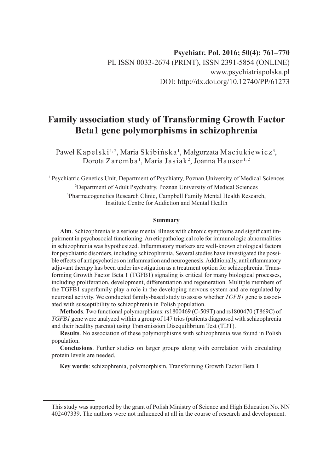# **Family association study of Transforming Growth Factor Beta1 gene polymorphisms in schizophrenia**

Paweł Kapelski½, Maria Skibińska½, Małgorzata Maciukiewicz3,  $\rm D$ orota Zaremba<sup>1</sup>, Maria Jasiak<sup>2</sup>, Joanna Hauser $^{1,2}$ 

<sup>1</sup> Psychiatric Genetics Unit, Department of Psychiatry, Poznan University of Medical Sciences 2 Department of Adult Psychiatry, Poznan University of Medical Sciences 3 Pharmacogenetics Research Clinic, Campbell Family Mental Health Research, Institute Centre for Addiction and Mental Health

#### **Summary**

**Aim**. Schizophrenia is a serious mental illness with chronic symptoms and significant impairment in psychosocial functioning. An etiopathological role for immunologic abnormalities in schizophrenia was hypothesized. Inflammatory markers are well-known etiological factors for psychiatric disorders, including schizophrenia. Several studies have investigated the possible effects of antipsychotics on inflammation and neurogenesis. Additionally, antiinflammatory adjuvant therapy has been under investigation as a treatment option for schizophrenia. Transforming Growth Factor Beta 1 (TGFB1) signaling is critical for many biological processes, including proliferation, development, differentiation and regeneration. Multiple members of the TGFB1 superfamily play a role in the developing nervous system and are regulated by neuronal activity. We conducted family-based study to assess whether *TGFB1* gene is associated with susceptibility to schizophrenia in Polish population.

**Methods**. Two functional polymorphisms: rs1800469 (C-509T) and rs1800470 (T869C) of *TGFB1* gene were analyzed within a group of 147 trios (patients diagnosed with schizophrenia and their healthy parents) using Transmission Disequilibrium Test (TDT).

**Results**. No association of these polymorphisms with schizophrenia was found in Polish population.

**Conclusions**. Further studies on larger groups along with correlation with circulating protein levels are needed.

**Key words**: schizophrenia, polymorphism, Transforming Growth Factor Beta 1

This study was supported by the grant of Polish Ministry of Science and High Education No. NN 402407339. The authors were not influenced at all in the course of research and development.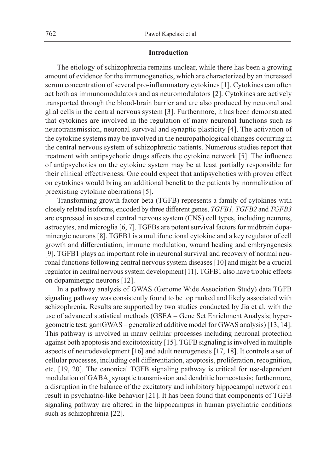### **Introduction**

The etiology of schizophrenia remains unclear, while there has been a growing amount of evidence for the immunogenetics, which are characterized by an increased serum concentration of several pro-inflammatory cytokines [1]. Cytokines can often act both as immunomodulators and as neuromodulators [2]. Cytokines are actively transported through the blood-brain barrier and are also produced by neuronal and glial cells in the central nervous system [3]. Furthermore, it has been demonstrated that cytokines are involved in the regulation of many neuronal functions such as neurotransmission, neuronal survival and synaptic plasticity [4]. The activation of the cytokine systems may be involved in the neuropathological changes occurring in the central nervous system of schizophrenic patients. Numerous studies report that treatment with antipsychotic drugs affects the cytokine network [5]. The influence of antipsychotics on the cytokine system may be at least partially responsible for their clinical effectiveness. One could expect that antipsychotics with proven effect on cytokines would bring an additional benefit to the patients by normalization of preexisting cytokine aberrations [5].

Transforming growth factor beta (TGFB) represents a family of cytokines with closely related isoforms, encoded by three different genes. *TGFB1, TGFB2* and *TGFB3* are expressed in several central nervous system (CNS) cell types, including neurons, astrocytes, and microglia [6, 7]. TGFBs are potent survival factors for midbrain dopaminergic neurons [8]. TGFB1 is a multifunctional cytokine and a key regulator of cell growth and differentiation, immune modulation, wound healing and embryogenesis [9]. TGFB1 plays an important role in neuronal survival and recovery of normal neuronal functions following central nervous system diseases [10] and might be a crucial regulator in central nervous system development [11]. TGFB1 also have trophic effects on dopaminergic neurons [12].

In a pathway analysis of GWAS (Genome Wide Association Study) data TGFB signaling pathway was consistently found to be top ranked and likely associated with schizophrenia. Results are supported by two studies conducted by Jia et al. with the use of advanced statistical methods (GSEA – Gene Set Enrichment Analysis; hypergeometric test; gamGWAS – generalized additive model for GWAS analysis) [13, 14]. This pathway is involved in many cellular processes including neuronal protection against both apoptosis and excitotoxicity [15]. TGFB signaling is involved in multiple aspects of neurodevelopment [16] and adult neurogenesis [17, 18]. It controls a set of cellular processes, including cell differentiation, apoptosis, proliferation, recognition, etc. [19, 20]. The canonical TGFB signaling pathway is critical for use-dependent modulation of GABA, synaptic transmission and dendritic homeostasis; furthermore, a disruption in the balance of the excitatory and inhibitory hippocampal network can result in psychiatric-like behavior [21]. It has been found that components of TGFB signaling pathway are altered in the hippocampus in human psychiatric conditions such as schizophrenia [22].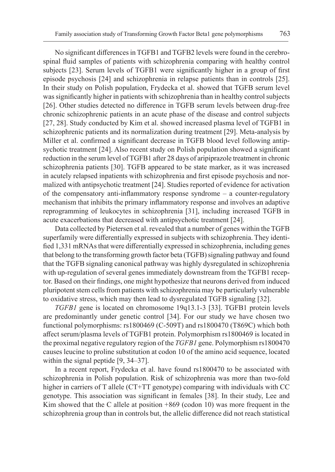No significant differences in TGFB1 and TGFB2 levels were found in the cerebrospinal fluid samples of patients with schizophrenia comparing with healthy control subjects [23]. Serum levels of TGFB1 were significantly higher in a group of first episode psychosis [24] and schizophrenia in relapse patients than in controls [25]. In their study on Polish population, Frydecka et al. showed that TGFB serum level was significantly higher in patients with schizophrenia than in healthy control subjects [26]. Other studies detected no difference in TGFB serum levels between drug-free chronic schizophrenic patients in an acute phase of the disease and control subjects [27, 28]. Study conducted by Kim et al. showed increased plasma level of TGFB1 in schizophrenic patients and its normalization during treatment [29]. Meta-analysis by Miller et al. confirmed a significant decrease in TGFB blood level following antipsychotic treatment [24]. Also recent study on Polish population showed a significant reduction in the serum level of TGFB1 after 28 days of aripiprazole treatment in chronic schizophrenia patients [30]. TGFB appeared to be state marker, as it was increased in acutely relapsed inpatients with schizophrenia and first episode psychosis and normalized with antipsychotic treatment [24]. Studies reported of evidence for activation of the compensatory anti-inflammatory response syndrome – a counter-regulatory mechanism that inhibits the primary inflammatory response and involves an adaptive reprogramming of leukocytes in schizophrenia [31], including increased TGFB in acute exacerbations that decreased with antipsychotic treatment [24].

Data collected by Pietersen et al. revealed that a number of genes within the TGFB superfamily were differentially expressed in subjects with schizophrenia. They identified 1,331 mRNAs that were differentially expressed in schizophrenia, including genes that belong to the transforming growth factor beta (TGFB) signaling pathway and found that the TGFB signaling canonical pathway was highly dysregulated in schizophrenia with up-regulation of several genes immediately downstream from the TGFB1 receptor. Based on their findings, one might hypothesize that neurons derived from induced pluripotent stem cells from patients with schizophrenia may be particularly vulnerable to oxidative stress, which may then lead to dysregulated TGFB signaling [32].

*TGFB1* gene is located on chromosome 19q13.1-3 [33]. TGFB1 protein levels are predominantly under genetic control [34]. For our study we have chosen two functional polymorphisms: rs1800469 (C-509T) and rs1800470 (T869C) which both affect serum/plasma levels of TGFB1 protein. Polymorphism rs1800469 is located in the proximal negative regulatory region of the *TGFB1* gene. Polymorphism rs1800470 causes leucine to proline substitution at codon 10 of the amino acid sequence, located within the signal peptide [9, 34–37].

In a recent report, Frydecka et al. have found rs1800470 to be associated with schizophrenia in Polish population. Risk of schizophrenia was more than two-fold higher in carriers of T allele (CT+TT genotype) comparing with individuals with CC genotype. This association was significant in females [38]. In their study, Lee and Kim showed that the C allele at position  $+869$  (codon 10) was more frequent in the schizophrenia group than in controls but, the allelic difference did not reach statistical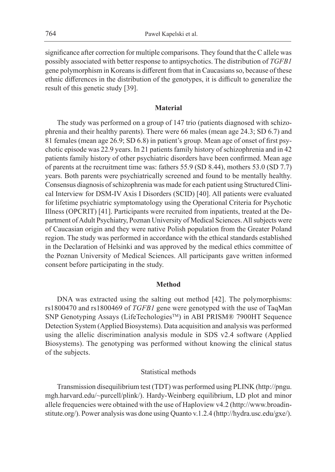significance after correction for multiple comparisons. They found that the C allele was possibly associated with better response to antipsychotics. The distribution of *TGFB1* gene polymorphism in Koreans is different from that in Caucasians so, because of these ethnic differences in the distribution of the genotypes, it is difficult to generalize the result of this genetic study [39].

## **Material**

The study was performed on a group of 147 trio (patients diagnosed with schizophrenia and their healthy parents). There were 66 males (mean age 24.3; SD 6.7) and 81 females (mean age 26.9; SD 6.8) in patient's group. Mean age of onset of first psychotic episode was 22.9 years. In 21 patients family history of schizophrenia and in 42 patients family history of other psychiatric disorders have been confirmed. Mean age of parents at the recruitment time was: fathers 55.9 (SD 8.44), mothers 53.0 (SD 7.7) years. Both parents were psychiatrically screened and found to be mentally healthy. Consensus diagnosis of schizophrenia was made for each patient using Structured Clinical Interview for DSM-IV Axis I Disorders (SCID) [40]. All patients were evaluated for lifetime psychiatric symptomatology using the Operational Criteria for Psychotic Illness (OPCRIT) [41]. Participants were recruited from inpatients, treated at the Department of Adult Psychiatry, Poznan University of Medical Sciences. All subjects were of Caucasian origin and they were native Polish population from the Greater Poland region. The study was performed in accordance with the ethical standards established in the Declaration of Helsinki and was approved by the medical ethics committee of the Poznan University of Medical Sciences. All participants gave written informed consent before participating in the study.

## **Method**

DNA was extracted using the salting out method [42]. The polymorphisms: rs1800470 and rs1800469 of *TGFB1* gene were genotyped with the use of TaqMan SNP Genotyping Assays (LifeTechologies™) in ABI PRISM® 7900HT Sequence Detection System (Applied Biosystems). Data acquisition and analysis was performed using the allelic discrimination analysis module in SDS v2.4 software (Applied Biosystems). The genotyping was performed without knowing the clinical status of the subjects.

#### Statistical methods

Transmission disequilibrium test (TDT) was performed using PLINK (http://pngu. mgh.harvard.edu/~purcell/plink/). Hardy-Weinberg equilibrium, LD plot and minor allele frequencies were obtained with the use of Haploview v4.2 (http://www.broadinstitute.org/). Power analysis was done using Quanto v.1.2.4 (http://hydra.usc.edu/gxe/).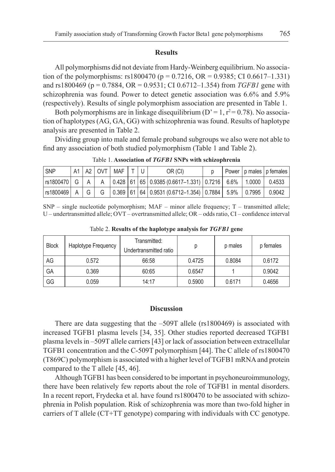#### **Results**

All polymorphisms did not deviate from Hardy-Weinberg equilibrium. No association of the polymorphisms: rs1800470 (p = 0.7216, OR = 0.9385; CI 0.6617–1.331) and rs1800469 (p = 0.7884, OR = 0.9531; CI 0.6712–1.354) from *TGFB1* gene with schizophrenia was found. Power to detect genetic association was 6.6% and 5.9% (respectively). Results of single polymorphism association are presented in Table 1.

Both polymorphisms are in linkage disequilibrium ( $D' = 1$ ,  $r^2 = 0.78$ ). No association of haplotypes (AG, GA, GG) with schizophrenia was found. Results of haplotype analysis are presented in Table 2.

Dividing group into male and female proband subgroups we also were not able to find any association of both studied polymorphism (Table 1 and Table 2).

| l SNP |  | $ A1 A2 $ OVT   MAF   T   U <sup> </sup> |  | OR (CI)                                                                                       |  | Power p males p females |
|-------|--|------------------------------------------|--|-----------------------------------------------------------------------------------------------|--|-------------------------|
|       |  |                                          |  | rs1800470   G   A   A  0.428  61  65  0.9385 (0.6617–1.331)  0.7216   6.6%  1.0000   0.4533   |  |                         |
|       |  |                                          |  | rs1800469   A   G   G   0.369  61  64  0.9531 (0.6712–1.354)  0.7884   5.9%   0.7995   0.9042 |  |                         |

Table 1. **Association of** *TGFB1* **SNPs with schizophrenia**

 $SNP$  – single nucleotide polymorphism; MAF – minor allele frequency; T – transmitted allele; U – undertransmitted allele; OVT – overtransmitted allele; OR – odds ratio, CI – confidence interval

| <b>Block</b> | Haplotype Frequency | Transmitted:<br>Undertransmitted ratio | р      | p males | p females |
|--------------|---------------------|----------------------------------------|--------|---------|-----------|
| AG           | 0.572               | 66:58                                  | 0.4725 | 0.8084  | 0.6172    |
| GA           | 0.369               | 60:65                                  | 0.6547 |         | 0.9042    |
| GG           | 0.059               | 14:17                                  | 0.5900 | 0.6171  | 0.4656    |

Table 2. **Results of the haplotype analysis for** *TGFB1* **gene**

## **Discussion**

There are data suggesting that the  $-509T$  allele (rs1800469) is associated with increased TGFB1 plasma levels [34, 35]. Other studies reported decreased TGFB1 plasma levels in –509T allele carriers [43] or lack of association between extracellular TGFB1 concentration and the C-509T polymorphism [44]. The C allele of rs1800470 (T869C) polymorphism is associated with a higher level of TGFB1 mRNA and protein compared to the T allele [45, 46].

Although TGFB1 has been considered to be important in psychoneuroimmunology, there have been relatively few reports about the role of TGFB1 in mental disorders. In a recent report, Frydecka et al. have found rs1800470 to be associated with schizophrenia in Polish population. Risk of schizophrenia was more than two-fold higher in carriers of T allele (CT+TT genotype) comparing with individuals with CC genotype.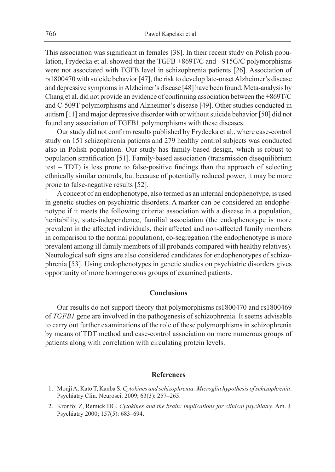This association was significant in females [38]. In their recent study on Polish population, Frydecka et al. showed that the TGFB +869T/C and +915G/C polymorphisms were not associated with TGFB level in schizophrenia patients [26]. Association of rs1800470 with suicide behavior [47], the risk to develop late-onset Alzheimer's disease and depressive symptoms in Alzheimer's disease [48] have been found. Meta-analysis by Chang et al. did not provide an evidence of confirming association between the +869T/C and C-509T polymorphisms and Alzheimer's disease [49]. Other studies conducted in autism [11] and major depressive disorder with or without suicide behavior [50] did not found any association of TGFB1 polymorphisms with these diseases.

Our study did not confirm results published by Frydecka et al., where case-control study on 151 schizophrenia patients and 279 healthy control subjects was conducted also in Polish population. Our study has family-based design, which is robust to population stratification [51]. Family-based association (transmission disequilibrium test – TDT) is less prone to false-positive findings than the approach of selecting ethnically similar controls, but because of potentially reduced power, it may be more prone to false-negative results [52].

A concept of an endophenotype, also termed as an internal endophenotype, is used in genetic studies on psychiatric disorders. A marker can be considered an endophenotype if it meets the following criteria: association with a disease in a population, heritability, state-independence, familial association (the endophenotype is more prevalent in the affected individuals, their affected and non-affected family members in comparison to the normal population), co-segregation (the endophenotype is more prevalent among ill family members of ill probands compared with healthy relatives). Neurological soft signs are also considered candidates for endophenotypes of schizophrenia [53]. Using endophenotypes in genetic studies on psychiatric disorders gives opportunity of more homogeneous groups of examined patients.

### **Conclusions**

Our results do not support theory that polymorphisms rs1800470 and rs1800469 of *TGFB1* gene are involved in the pathogenesis of schizophrenia. It seems advisable to carry out further examinations of the role of these polymorphisms in schizophrenia by means of TDT method and case-control association on more numerous groups of patients along with correlation with circulating protein levels.

## **References**

- 1. Monji A, Kato T, Kanba S. *Cytokines and schizophrenia: Microglia hypothesis of schizophrenia*. Psychiatry Clin. Neurosci. 2009; 63(3): 257–265.
- 2. Kronfol Z, Remick DG. *Cytokines and the brain: implications for clinical psychiatry*. Am. J. Psychiatry 2000; 157(5): 683–694.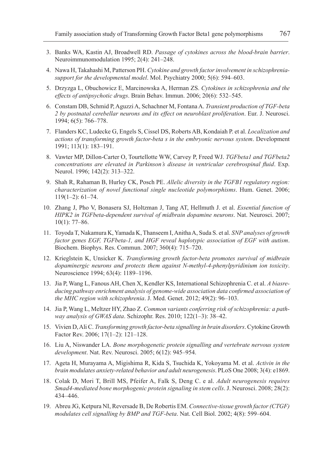- 3. Banks WA, Kastin AJ, Broadwell RD. *Passage of cytokines across the blood-brain barrier*. Neuroimmunomodulation 1995; 2(4): 241–248.
- 4. Nawa H, Takahashi M, Patterson PH. *Cytokine and growth factor involvement in schizophreniasupport for the developmental model*. Mol. Psychiatry 2000; 5(6): 594–603.
- 5. Drzyzga L, Obuchowicz E, Marcinowska A, Herman ZS. *Cytokines in schizophrenia and the effects of antipsychotic drugs*. Brain Behav. Immun. 2006; 20(6): 532–545.
- 6. Constam DB, Schmid P, Aguzzi A, Schachner M, Fontana A. *Transient production of TGF-beta 2 by postnatal cerebellar neurons and its effect on neuroblast proliferation*. Eur. J. Neurosci. 1994; 6(5): 766–778.
- 7. Flanders KC, Ludecke G, Engels S, Cissel DS, Roberts AB, Kondaiah P. et al. *Localization and actions of transforming growth factor-beta s in the embryonic nervous system*. Development 1991; 113(1): 183–191.
- 8. Vawter MP, Dillon-Carter O, Tourtellotte WW, Carvey P, Freed WJ. *TGFbeta1 and TGFbeta2 concentrations are elevated in Parkinson's disease in ventricular cerebrospinal fluid*. Exp. Neurol. 1996; 142(2): 313–322.
- 9. Shah R, Rahaman B, Hurley CK, Posch PE. *Allelic diversity in the TGFB1 regulatory region: characterization of novel functional single nucleotide polymorphisms*. Hum. Genet. 2006;  $119(1-2): 61-74.$
- 10. Zhang J, Pho V, Bonasera SJ, Holtzman J, Tang AT, Hellmuth J. et al. *Essential function of HIPK2 in TGFbeta-dependent survival of midbrain dopamine neurons*. Nat. Neurosci. 2007; 10(1): 77–86.
- 11. Toyoda T, Nakamura K, Yamada K, Thanseem I, Anitha A, Suda S. et al. *SNP analyses of growth factor genes EGF, TGFbeta-1, and HGF reveal haplotypic association of EGF with autism*. Biochem. Biophys. Res. Commun. 2007; 360(4): 715–720.
- 12. Krieglstein K, Unsicker K. *Transforming growth factor-beta promotes survival of midbrain dopaminergic neurons and protects them against N-methyl-4-phenylpyridinium ion toxicity*. Neuroscience 1994; 63(4): 1189–1196.
- 13. Jia P, Wang L, Fanous AH, Chen X, Kendler KS, International Schizophrenia C. et al. *A biasreducing pathway enrichment analysis of genome-wide association data confirmed association of the MHC region with schizophrenia*. J. Med. Genet. 2012; 49(2): 96–103.
- 14. Jia P, Wang L, Meltzer HY, Zhao Z. *Common variants conferring risk of schizophrenia: a pathway analysis of GWAS data*. Schizophr. Res. 2010; 122(1–3): 38–42.
- 15. Vivien D, Ali C. *Transforming growth factor-beta signalling in brain disorders*. Cytokine Growth Factor Rev. 2006; 17(1–2): 121–128.
- 16. Liu A, Niswander LA. *Bone morphogenetic protein signalling and vertebrate nervous system development*. Nat. Rev. Neurosci. 2005; 6(12): 945–954.
- 17. Ageta H, Murayama A, Migishima R, Kida S, Tsuchida K, Yokoyama M. et al. *Activin in the brain modulates anxiety-related behavior and adult neurogenesis*. PLoS One 2008; 3(4): e1869.
- 18. Colak D, Mori T, Brill MS, Pfeifer A, Falk S, Deng C. e al. *Adult neurogenesis requires Smad4-mediated bone morphogenic protein signaling in stem cells*. J. Neurosci. 2008; 28(2): 434–446.
- 19. Abreu JG, Ketpura NI, Reversade B, De Robertis EM. *Connective-tissue growth factor (CTGF) modulates cell signalling by BMP and TGF-beta*. Nat. Cell Biol. 2002; 4(8): 599–604.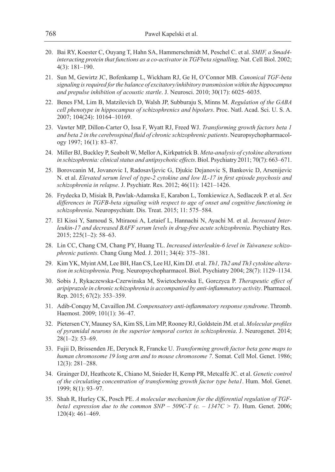- 20. Bai RY, Koester C, Ouyang T, Hahn SA, Hammerschmidt M, Peschel C. et al. *SMIF, a Smad4 interacting protein that functions as a co-activator in TGFbeta signalling*. Nat. Cell Biol. 2002; 4(3): 181–190.
- 21. Sun M, Gewirtz JC, Bofenkamp L, Wickham RJ, Ge H, O'Connor MB. *Canonical TGF-beta signaling is required for the balance of excitatory/inhibitory transmission within the hippocampus and prepulse inhibition of acoustic startle*. J. Neurosci. 2010; 30(17): 6025–6035.
- 22. Benes FM, Lim B, Matzilevich D, Walsh JP, Subburaju S, Minns M. *Regulation of the GABA cell phenotype in hippocampus of schizophrenics and bipolars*. Proc. Natl. Acad. Sci. U. S. A. 2007; 104(24): 10164–10169.
- 23. Vawter MP, Dillon-Carter O, Issa F, Wyatt RJ, Freed WJ. *Transforming growth factors beta 1 and beta 2 in the cerebrospinal fluid of chronic schizophrenic patients*. Neuropsychopharmacology 1997; 16(1): 83–87.
- 24. Miller BJ, Buckley P, Seabolt W, Mellor A, Kirkpatrick B. *Meta-analysis of cytokine alterations in schizophrenia: clinical status and antipsychotic effects*. Biol. Psychiatry 2011; 70(7): 663–671.
- 25. Borovcanin M, Jovanovic I, Radosavljevic G, Djukic Dejanovic S, Bankovic D, Arsenijevic N. et al. *Elevated serum level of type-2 cytokine and low IL-17 in first episode psychosis and schizophrenia in relapse*. J. Psychiatr. Res. 2012; 46(11): 1421–1426.
- 26. Frydecka D, Misiak B, Pawlak-Adamska E, Karabon L, Tomkiewicz A, Sedlaczek P. et al. *Sex differences in TGFB-beta signaling with respect to age of onset and cognitive functioning in schizophrenia*. Neuropsychiatr. Dis. Treat. 2015; 11: 575–584.
- 27. El Kissi Y, Samoud S, Mtiraoui A, Letaief L, Hannachi N, Ayachi M. et al. *Increased Interleukin-17 and decreased BAFF serum levels in drug-free acute schizophrenia*. Psychiatry Res. 2015; 225(1–2): 58–63.
- 28. Lin CC, Chang CM, Chang PY, Huang TL. *Increased interleukin-6 level in Taiwanese schizophrenic patients*. Chang Gung Med. J. 2011; 34(4): 375–381.
- 29. Kim YK, Myint AM, Lee BH, Han CS, Lee HJ, Kim DJ. et al. *Th1, Th2 and Th3 cytokine alteration in schizophrenia*. Prog. Neuropsychopharmacol. Biol. Psychiatry 2004; 28(7): 1129–1134.
- 30. Sobis J, Rykaczewska-Czerwinska M, Swietochowska E, Gorczyca P. *Therapeutic effect of aripiprazole in chronic schizophrenia is accompanied by anti-inflammatory activity*. Pharmacol. Rep. 2015; 67(2): 353–359.
- 31. Adib-Conquy M, Cavaillon JM. *Compensatory anti-inflammatory response syndrome*. Thromb. Haemost. 2009; 101(1): 36–47.
- 32. Pietersen CY, Mauney SA, Kim SS, Lim MP, Rooney RJ, Goldstein JM. et al. *Molecular profiles of pyramidal neurons in the superior temporal cortex in schizophrenia*. J. Neurogenet. 2014; 28(1–2): 53–69.
- 33. Fujii D, Brissenden JE, Derynck R, Francke U. *Transforming growth factor beta gene maps to human chromosome 19 long arm and to mouse chromosome 7*. Somat. Cell Mol. Genet. 1986; 12(3): 281–288.
- 34. Grainger DJ, Heathcote K, Chiano M, Snieder H, Kemp PR, Metcalfe JC. et al. *Genetic control of the circulating concentration of transforming growth factor type beta1*. Hum. Mol. Genet. 1999; 8(1): 93–97.
- 35. Shah R, Hurley CK, Posch PE. *A molecular mechanism for the differential regulation of TGFbeta1 expression due to the common SNP – 509C-T (c. – 1347C > T)*. Hum. Genet. 2006; 120(4): 461–469.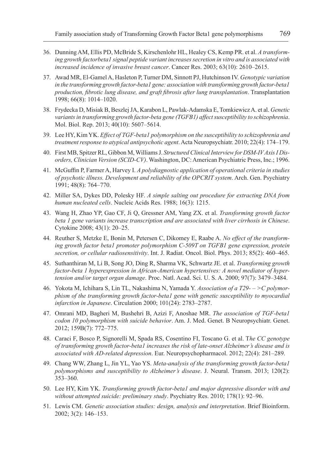- 36. Dunning AM, Ellis PD, McBride S, Kirschenlohr HL, Healey CS, Kemp PR. et al. *A transforming growth factorbeta1 signal peptide variant increases secretion in vitro and is associated with increased incidence of invasive breast cancer*. Cancer Res. 2003; 63(10): 2610–2615.
- 37. Awad MR, El-Gamel A, Hasleton P, Turner DM, Sinnott PJ, Hutchinson IV. *Genotypic variation in the transforming growth factor-beta1 gene: association with transforming growth factor-beta1 production, fibrotic lung disease, and graft fibrosis after lung transplantation*. Transplantation 1998; 66(8): 1014–1020.
- 38. Frydecka D, Misiak B, Beszlej JA, Karabon L, Pawlak-Adamska E, Tomkiewicz A. et al. *Genetic variants in transforming growth factor-beta gene (TGFB1) affect susceptibility to schizophrenia.* Mol. Biol. Rep. 2013; 40(10): 5607–5614.
- 39. Lee HY, Kim YK. *Effect of TGF-beta1 polymorphism on the susceptibility to schizophrenia and treatment response to atypical antipsychotic agent*. Acta Neuropsychiatr. 2010; 22(4): 174–179.
- 40. First MB, Spitzer RL, Gibbon M, Williams J. *Structured Clinical Interview for DSM-IV Axis I Disorders, Clinician Version (SCID-CV)*. Washington, DC: American Psychiatric Press, Inc.; 1996.
- 41. McGuffin P, Farmer A, Harvey I. *A polydiagnostic application of operational criteria in studies of psychotic illness. Development and reliability of the OPCRIT system*. Arch. Gen. Psychiatry 1991; 48(8): 764–770.
- 42. Miller SA, Dykes DD, Polesky HF. *A simple salting out procedure for extracting DNA from human nucleated cells*. Nucleic Acids Res. 1988; 16(3): 1215.
- 43. Wang H, Zhao YP, Gao CF, Ji Q, Gressner AM, Yang ZX. et al. *Transforming growth factor beta 1 gene variants increase transcription and are associated with liver cirrhosis in Chinese*. Cytokine 2008; 43(1): 20–25.
- 44. Reuther S, Metzke E, Bonin M, Petersen C, Dikomey E, Raabe A. *No effect of the transforming growth factor beta1 promoter polymorphism C-509T on TGFB1 gene expression, protein secretion, or cellular radiosensitivity*. Int. J. Radiat. Oncol. Biol. Phys. 2013; 85(2): 460–465.
- 45. Suthanthiran M, Li B, Song JO, Ding R, Sharma VK, Schwartz JE. et al. *Transforming growth factor-beta 1 hyperexpression in African-American hypertensives: A novel mediator of hypertension and/or target organ damage*. Proc. Natl. Acad. Sci. U. S. A. 2000; 97(7): 3479–3484.
- 46. Yokota M, Ichihara S, Lin TL, Nakashima N, Yamada Y. *Association of a T29- >C polymorphism of the transforming growth factor-beta1 gene with genetic susceptibility to myocardial infarction in Japanese*. Circulation 2000; 101(24): 2783–2787.
- 47. Omrani MD, Bagheri M, Bushehri B, Azizi F, Anoshae MR. *The association of TGF-beta1 codon 10 polymorphism with suicide behavior*. Am. J. Med. Genet. B Neuropsychiatr. Genet. 2012; 159B(7): 772–775.
- 48. Caraci F, Bosco P, Signorelli M, Spada RS, Cosentino FI, Toscano G. et al. T*he CC genotype of transforming growth factor-beta1 increases the risk of late-onset Alzheimer's disease and is associated with AD-related depression*. Eur. Neuropsychopharmacol. 2012; 22(4): 281–289.
- 49. Chang WW, Zhang L, Jin YL, Yao YS. *Meta-analysis of the transforming growth factor-beta1 polymorphisms and susceptibility to Alzheimer's disease*. J. Neural. Transm. 2013; 120(2): 353–360.
- 50. Lee HY, Kim YK. *Transforming growth factor-beta1 and major depressive disorder with and without attempted suicide: preliminary study*. Psychiatry Res. 2010; 178(1): 92–96.
- 51. Lewis CM. *Genetic association studies: design, analysis and interpretation*. Brief Bioinform. 2002; 3(2): 146–153.